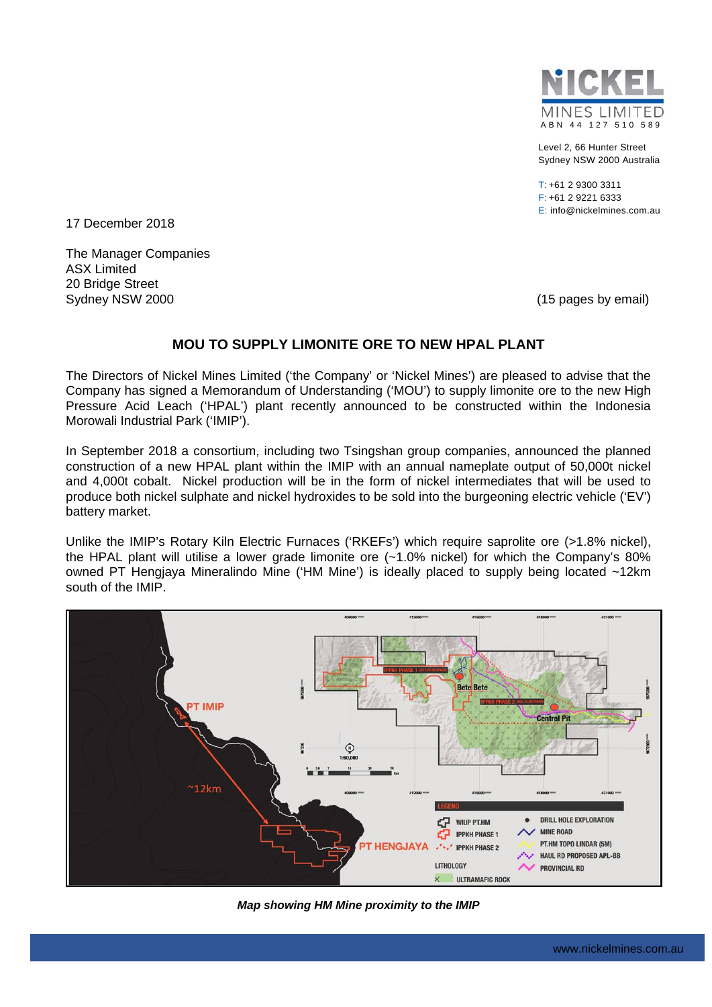

Level 2, 66 Hunter Street Sydney NSW 2000 Australia

T: +61 2 9300 3311 F: +61 2 9221 6333 E: info@nickelmines.com.au

17 December 2018

The Manager Companies ASX Limited 20 Bridge Street Sydney NSW 2000 (15 pages by email)

### **MOU TO SUPPLY LIMONITE ORE TO NEW HPAL PLANT**

The Directors of Nickel Mines Limited ('the Company' or 'Nickel Mines') are pleased to advise that the Company has signed a Memorandum of Understanding ('MOU') to supply limonite ore to the new High Pressure Acid Leach ('HPAL') plant recently announced to be constructed within the Indonesia Morowali Industrial Park ('IMIP').

In September 2018 a consortium, including two Tsingshan group companies, announced the planned construction of a new HPAL plant within the IMIP with an annual nameplate output of 50,000t nickel and 4,000t cobalt. Nickel production will be in the form of nickel intermediates that will be used to produce both nickel sulphate and nickel hydroxides to be sold into the burgeoning electric vehicle ('EV') battery market.

Unlike the IMIP's Rotary Kiln Electric Furnaces ('RKEFs') which require saprolite ore (>1.8% nickel), the HPAL plant will utilise a lower grade limonite ore (~1.0% nickel) for which the Company's 80% owned PT Hengjaya Mineralindo Mine ('HM Mine') is ideally placed to supply being located ~12km south of the IMIP.



*Map showing HM Mine proximity to the IMIP*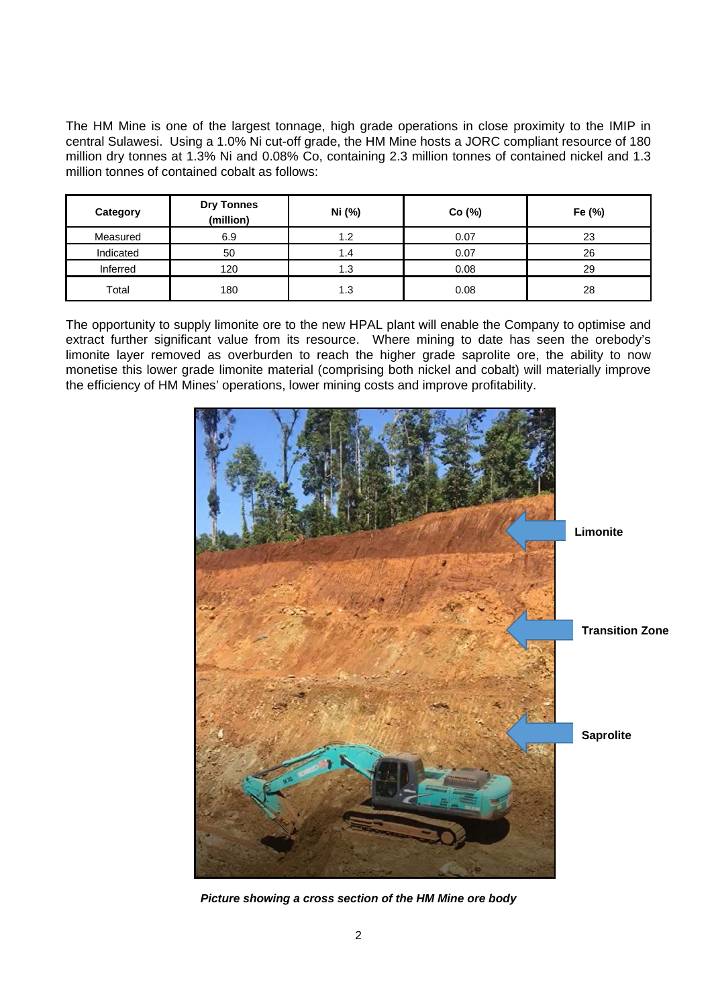The HM Mine is one of the largest tonnage, high grade operations in close proximity to the IMIP in central Sulawesi. Using a 1.0% Ni cut-off grade, the HM Mine hosts a JORC compliant resource of 180 million dry tonnes at 1.3% Ni and 0.08% Co, containing 2.3 million tonnes of contained nickel and 1.3 million tonnes of contained cobalt as follows:

| Category  | <b>Dry Tonnes</b><br>(million) | Ni (%) | Co(%) | Fe (%) |
|-----------|--------------------------------|--------|-------|--------|
| Measured  | 6.9                            | 1.2    | 0.07  | 23     |
| Indicated | 50                             | 1.4    | 0.07  | 26     |
| Inferred  | 120                            | 1.3    | 0.08  | 29     |
| Total     | 180                            | 1.3    | 0.08  | 28     |

The opportunity to supply limonite ore to the new HPAL plant will enable the Company to optimise and extract further significant value from its resource. Where mining to date has seen the orebody's limonite layer removed as overburden to reach the higher grade saprolite ore, the ability to now monetise this lower grade limonite material (comprising both nickel and cobalt) will materially improve the efficiency of HM Mines' operations, lower mining costs and improve profitability.



*Picture showing a cross section of the HM Mine ore body*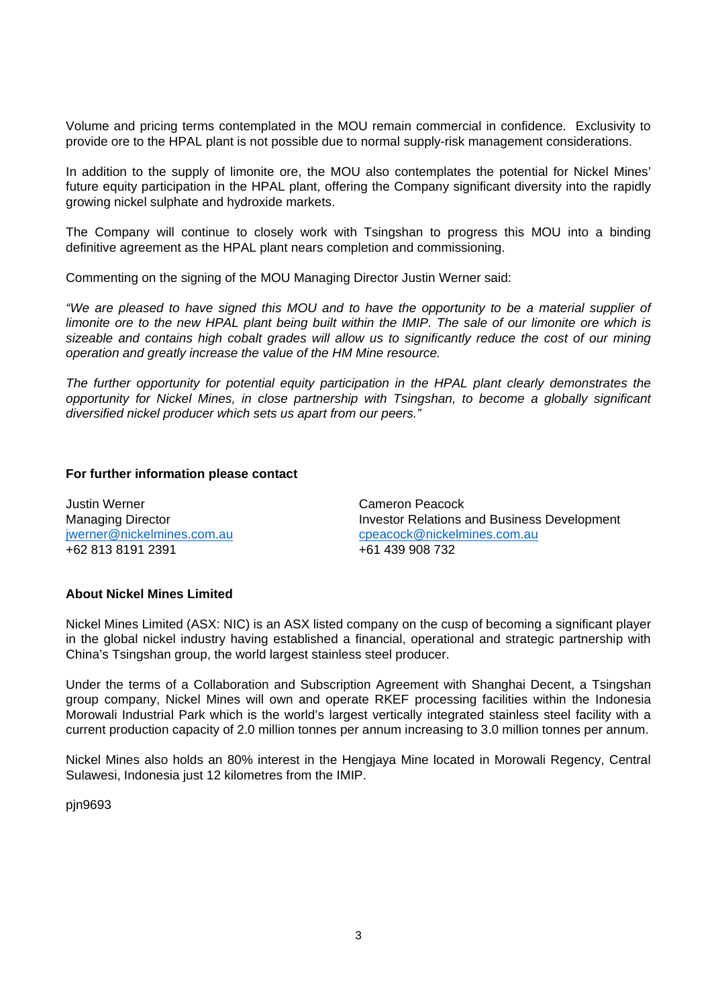Volume and pricing terms contemplated in the MOU remain commercial in confidence. Exclusivity to provide ore to the HPAL plant is not possible due to normal supply-risk management considerations.

In addition to the supply of limonite ore, the MOU also contemplates the potential for Nickel Mines' future equity participation in the HPAL plant, offering the Company significant diversity into the rapidly growing nickel sulphate and hydroxide markets.

The Company will continue to closely work with Tsingshan to progress this MOU into a binding definitive agreement as the HPAL plant nears completion and commissioning.

Commenting on the signing of the MOU Managing Director Justin Werner said:

*"We are pleased to have signed this MOU and to have the opportunity to be a material supplier of limonite ore to the new HPAL plant being built within the IMIP. The sale of our limonite ore which is sizeable and contains high cobalt grades will allow us to significantly reduce the cost of our mining operation and greatly increase the value of the HM Mine resource.* 

*The further opportunity for potential equity participation in the HPAL plant clearly demonstrates the opportunity for Nickel Mines, in close partnership with Tsingshan, to become a globally significant diversified nickel producer which sets us apart from our peers."* 

#### **For further information please contact**

Justin Werner Cameron Peacock +62 813 8191 2391 +61 439 908 732

Managing Director **Investor Relations and Business Development** jwerner@nickelmines.com.aucpeacock@nickelmines.com.au

#### **About Nickel Mines Limited**

Nickel Mines Limited (ASX: NIC) is an ASX listed company on the cusp of becoming a significant player in the global nickel industry having established a financial, operational and strategic partnership with China's Tsingshan group, the world largest stainless steel producer.

Under the terms of a Collaboration and Subscription Agreement with Shanghai Decent, a Tsingshan group company, Nickel Mines will own and operate RKEF processing facilities within the Indonesia Morowali Industrial Park which is the world's largest vertically integrated stainless steel facility with a current production capacity of 2.0 million tonnes per annum increasing to 3.0 million tonnes per annum.

Nickel Mines also holds an 80% interest in the Hengjaya Mine located in Morowali Regency, Central Sulawesi, Indonesia just 12 kilometres from the IMIP.

pjn9693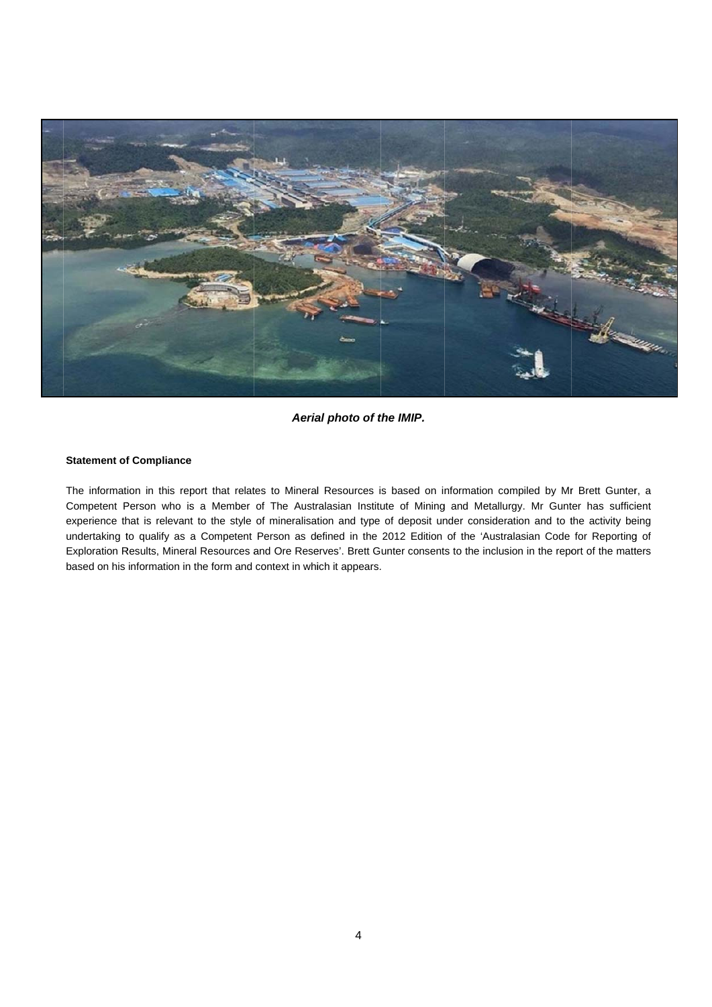

#### *Aerial photo of the IMIP.*

#### **Statement of Compliance**

The information in this report that relates to Mineral Resources is based on information compiled by Mr Brett Gunter, a Competent Person who is a Member of The Australasian Institute of Mining and Metallurgy. Mr Gunter has sufficient experience that is relevant to the style of mineralisation and type of deposit under consideration and to the activity being undertaking to qualify as a Competent Person as defined in the 2012 Edition of the 'Australasian Code for Reporting of Exploration Results, Mineral Resources and Ore Reserves'. Brett Gunter consents to the inclusion in the report of the matters based on his information in the form and context in which it appears.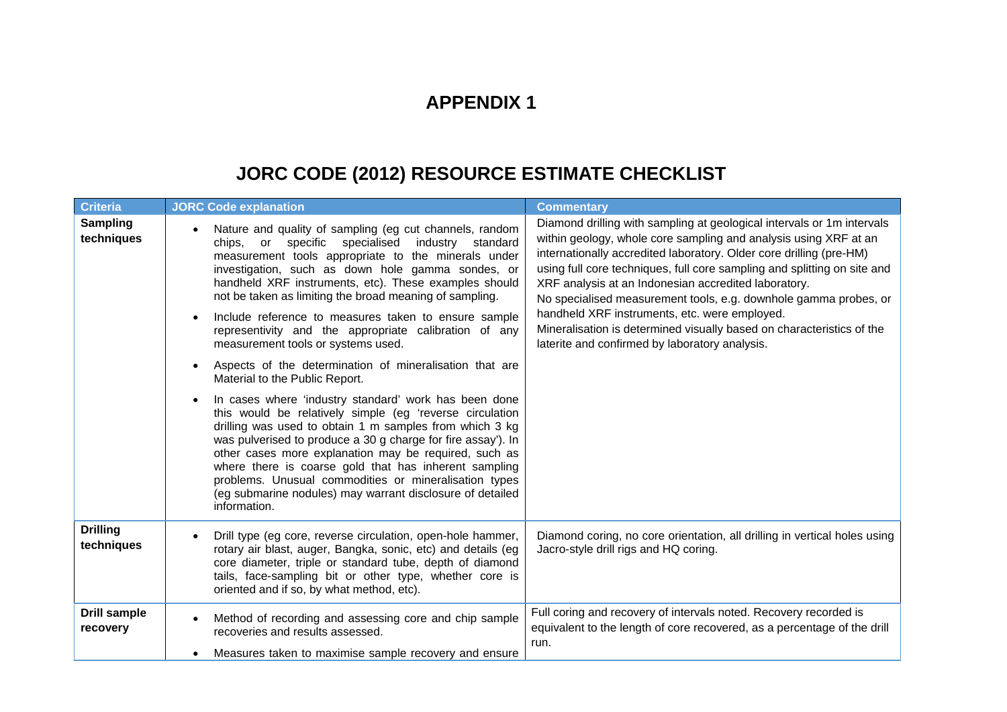## **APPENDIX 1**

# **JORC CODE (2012) RESOURCE ESTIMATE CHECKLIST**

| <b>Criteria</b>                 | <b>JORC Code explanation</b>                                                                                                                                                                                                                                                                                                                                                                                                                                                                                                                                                                                                                                                                                                                                                                                                                       | <b>Commentary</b>                                                                                                                                                                                                                                                                                                                                                                                                                                                                                                                                                                                     |
|---------------------------------|----------------------------------------------------------------------------------------------------------------------------------------------------------------------------------------------------------------------------------------------------------------------------------------------------------------------------------------------------------------------------------------------------------------------------------------------------------------------------------------------------------------------------------------------------------------------------------------------------------------------------------------------------------------------------------------------------------------------------------------------------------------------------------------------------------------------------------------------------|-------------------------------------------------------------------------------------------------------------------------------------------------------------------------------------------------------------------------------------------------------------------------------------------------------------------------------------------------------------------------------------------------------------------------------------------------------------------------------------------------------------------------------------------------------------------------------------------------------|
| <b>Sampling</b><br>techniques   | Nature and quality of sampling (eg cut channels, random<br>industry standard<br>chips, or specific specialised<br>measurement tools appropriate to the minerals under<br>investigation, such as down hole gamma sondes, or<br>handheld XRF instruments, etc). These examples should<br>not be taken as limiting the broad meaning of sampling.<br>Include reference to measures taken to ensure sample<br>representivity and the appropriate calibration of any<br>measurement tools or systems used.<br>Aspects of the determination of mineralisation that are<br>Material to the Public Report.<br>In cases where 'industry standard' work has been done<br>this would be relatively simple (eg 'reverse circulation<br>drilling was used to obtain 1 m samples from which 3 kg<br>was pulverised to produce a 30 g charge for fire assay'). In | Diamond drilling with sampling at geological intervals or 1m intervals<br>within geology, whole core sampling and analysis using XRF at an<br>internationally accredited laboratory. Older core drilling (pre-HM)<br>using full core techniques, full core sampling and splitting on site and<br>XRF analysis at an Indonesian accredited laboratory.<br>No specialised measurement tools, e.g. downhole gamma probes, or<br>handheld XRF instruments, etc. were employed.<br>Mineralisation is determined visually based on characteristics of the<br>laterite and confirmed by laboratory analysis. |
|                                 | other cases more explanation may be required, such as<br>where there is coarse gold that has inherent sampling<br>problems. Unusual commodities or mineralisation types<br>(eg submarine nodules) may warrant disclosure of detailed<br>information.                                                                                                                                                                                                                                                                                                                                                                                                                                                                                                                                                                                               |                                                                                                                                                                                                                                                                                                                                                                                                                                                                                                                                                                                                       |
| <b>Drilling</b><br>techniques   | Drill type (eg core, reverse circulation, open-hole hammer,<br>rotary air blast, auger, Bangka, sonic, etc) and details (eg<br>core diameter, triple or standard tube, depth of diamond<br>tails, face-sampling bit or other type, whether core is<br>oriented and if so, by what method, etc).                                                                                                                                                                                                                                                                                                                                                                                                                                                                                                                                                    | Diamond coring, no core orientation, all drilling in vertical holes using<br>Jacro-style drill rigs and HQ coring.                                                                                                                                                                                                                                                                                                                                                                                                                                                                                    |
| <b>Drill sample</b><br>recovery | Method of recording and assessing core and chip sample<br>recoveries and results assessed.<br>Measures taken to maximise sample recovery and ensure                                                                                                                                                                                                                                                                                                                                                                                                                                                                                                                                                                                                                                                                                                | Full coring and recovery of intervals noted. Recovery recorded is<br>equivalent to the length of core recovered, as a percentage of the drill<br>run.                                                                                                                                                                                                                                                                                                                                                                                                                                                 |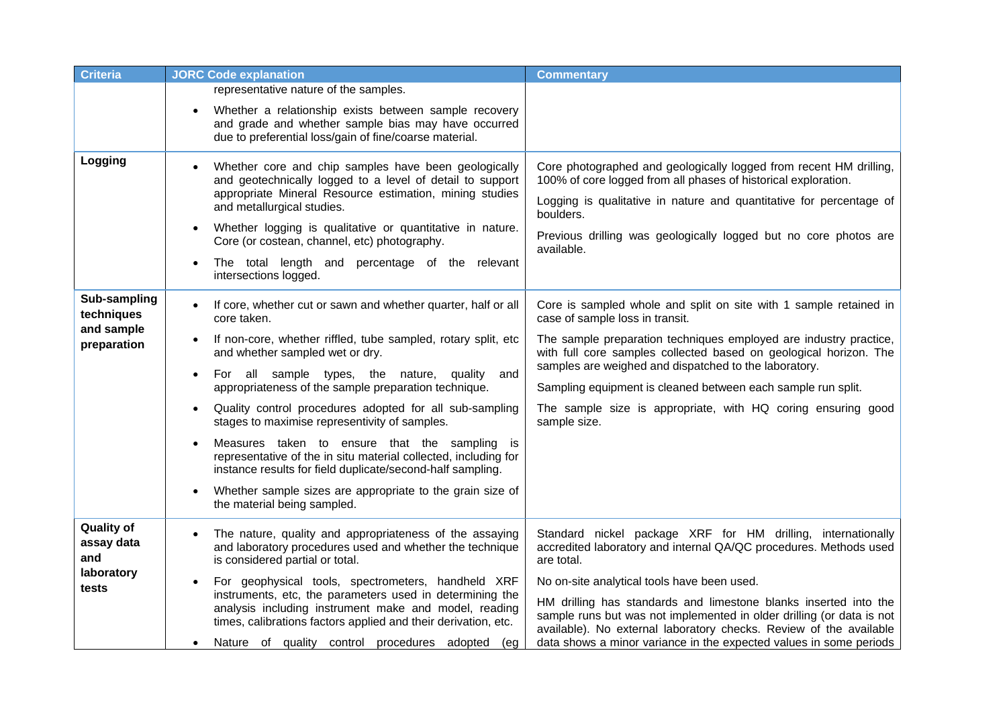| <b>Criteria</b>                                               | <b>JORC Code explanation</b>                                                                                                                                                                                                                                                                                                                                                                                                                                                                                                                                                                                                                                                                                                  | <b>Commentary</b>                                                                                                                                                                                                                                                                                                                                                                                                                                                                       |
|---------------------------------------------------------------|-------------------------------------------------------------------------------------------------------------------------------------------------------------------------------------------------------------------------------------------------------------------------------------------------------------------------------------------------------------------------------------------------------------------------------------------------------------------------------------------------------------------------------------------------------------------------------------------------------------------------------------------------------------------------------------------------------------------------------|-----------------------------------------------------------------------------------------------------------------------------------------------------------------------------------------------------------------------------------------------------------------------------------------------------------------------------------------------------------------------------------------------------------------------------------------------------------------------------------------|
|                                                               | representative nature of the samples.<br>Whether a relationship exists between sample recovery<br>and grade and whether sample bias may have occurred<br>due to preferential loss/gain of fine/coarse material.                                                                                                                                                                                                                                                                                                                                                                                                                                                                                                               |                                                                                                                                                                                                                                                                                                                                                                                                                                                                                         |
| Logging                                                       | Whether core and chip samples have been geologically<br>and geotechnically logged to a level of detail to support<br>appropriate Mineral Resource estimation, mining studies<br>and metallurgical studies.<br>Whether logging is qualitative or quantitative in nature.<br>$\bullet$<br>Core (or costean, channel, etc) photography.<br>The total length and percentage of the relevant<br>intersections logged.                                                                                                                                                                                                                                                                                                              | Core photographed and geologically logged from recent HM drilling,<br>100% of core logged from all phases of historical exploration.<br>Logging is qualitative in nature and quantitative for percentage of<br>boulders.<br>Previous drilling was geologically logged but no core photos are<br>available.                                                                                                                                                                              |
| Sub-sampling<br>techniques<br>and sample<br>preparation       | If core, whether cut or sawn and whether quarter, half or all<br>$\bullet$<br>core taken.<br>If non-core, whether riffled, tube sampled, rotary split, etc<br>and whether sampled wet or dry.<br>For all sample types, the nature, quality<br>and<br>$\bullet$<br>appropriateness of the sample preparation technique.<br>Quality control procedures adopted for all sub-sampling<br>stages to maximise representivity of samples.<br>Measures taken to ensure that the sampling is<br>representative of the in situ material collected, including for<br>instance results for field duplicate/second-half sampling.<br>Whether sample sizes are appropriate to the grain size of<br>$\bullet$<br>the material being sampled. | Core is sampled whole and split on site with 1 sample retained in<br>case of sample loss in transit.<br>The sample preparation techniques employed are industry practice,<br>with full core samples collected based on geological horizon. The<br>samples are weighed and dispatched to the laboratory.<br>Sampling equipment is cleaned between each sample run split.<br>The sample size is appropriate, with HQ coring ensuring good<br>sample size.                                 |
| <b>Quality of</b><br>assay data<br>and<br>laboratory<br>tests | The nature, quality and appropriateness of the assaying<br>and laboratory procedures used and whether the technique<br>is considered partial or total.<br>For geophysical tools, spectrometers, handheld XRF<br>instruments, etc, the parameters used in determining the<br>analysis including instrument make and model, reading<br>times, calibrations factors applied and their derivation, etc.<br>Nature of quality control procedures adopted (eg                                                                                                                                                                                                                                                                       | Standard nickel package XRF for HM drilling, internationally<br>accredited laboratory and internal QA/QC procedures. Methods used<br>are total.<br>No on-site analytical tools have been used.<br>HM drilling has standards and limestone blanks inserted into the<br>sample runs but was not implemented in older drilling (or data is not<br>available). No external laboratory checks. Review of the available<br>data shows a minor variance in the expected values in some periods |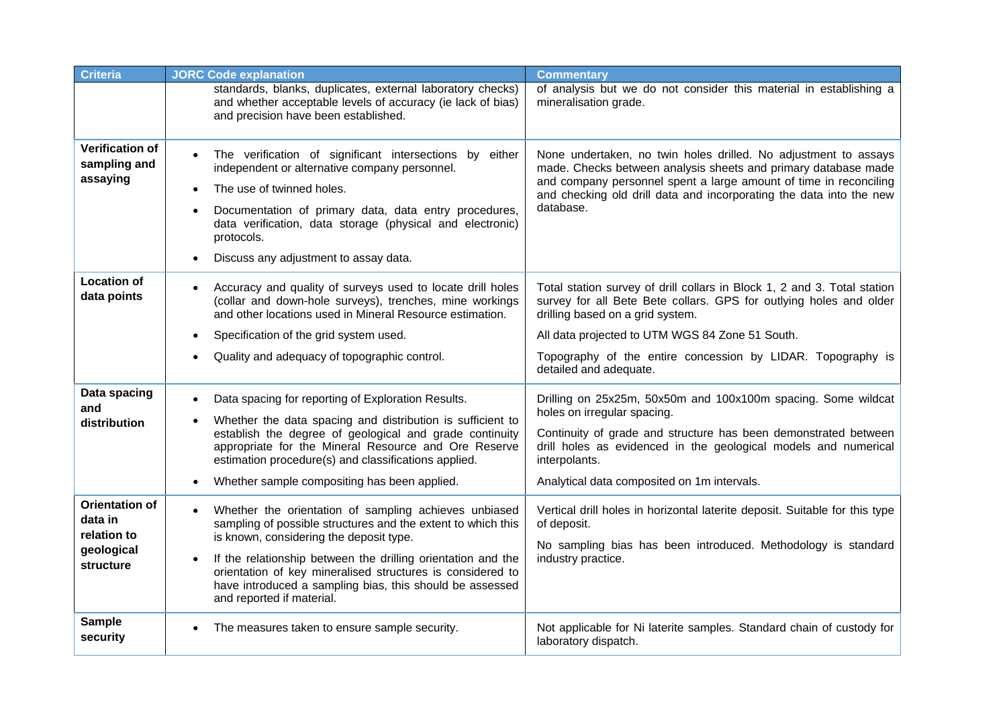| <b>Criteria</b>                                                            | <b>JORC Code explanation</b>                                                                                                                                                                                                                                                                                                                                                                                      | <b>Commentary</b>                                                                                                                                                                                                                                                                                  |
|----------------------------------------------------------------------------|-------------------------------------------------------------------------------------------------------------------------------------------------------------------------------------------------------------------------------------------------------------------------------------------------------------------------------------------------------------------------------------------------------------------|----------------------------------------------------------------------------------------------------------------------------------------------------------------------------------------------------------------------------------------------------------------------------------------------------|
|                                                                            | standards, blanks, duplicates, external laboratory checks)<br>and whether acceptable levels of accuracy (ie lack of bias)<br>and precision have been established.                                                                                                                                                                                                                                                 | of analysis but we do not consider this material in establishing a<br>mineralisation grade.                                                                                                                                                                                                        |
| <b>Verification of</b><br>sampling and<br>assaying                         | The verification of significant intersections by either<br>independent or alternative company personnel.<br>The use of twinned holes.<br>$\bullet$<br>Documentation of primary data, data entry procedures,<br>$\bullet$<br>data verification, data storage (physical and electronic)<br>protocols.<br>Discuss any adjustment to assay data.<br>$\bullet$                                                         | None undertaken, no twin holes drilled. No adjustment to assays<br>made. Checks between analysis sheets and primary database made<br>and company personnel spent a large amount of time in reconciling<br>and checking old drill data and incorporating the data into the new<br>database.         |
| <b>Location of</b><br>data points                                          | Accuracy and quality of surveys used to locate drill holes<br>$\bullet$<br>(collar and down-hole surveys), trenches, mine workings<br>and other locations used in Mineral Resource estimation.                                                                                                                                                                                                                    | Total station survey of drill collars in Block 1, 2 and 3. Total station<br>survey for all Bete Bete collars. GPS for outlying holes and older<br>drilling based on a grid system.                                                                                                                 |
|                                                                            | Specification of the grid system used.                                                                                                                                                                                                                                                                                                                                                                            | All data projected to UTM WGS 84 Zone 51 South.                                                                                                                                                                                                                                                    |
|                                                                            | Quality and adequacy of topographic control.                                                                                                                                                                                                                                                                                                                                                                      | Topography of the entire concession by LIDAR. Topography is<br>detailed and adequate.                                                                                                                                                                                                              |
| Data spacing<br>and<br>distribution                                        | Data spacing for reporting of Exploration Results.<br>Whether the data spacing and distribution is sufficient to<br>establish the degree of geological and grade continuity<br>appropriate for the Mineral Resource and Ore Reserve<br>estimation procedure(s) and classifications applied.<br>Whether sample compositing has been applied.<br>$\bullet$                                                          | Drilling on 25x25m, 50x50m and 100x100m spacing. Some wildcat<br>holes on irregular spacing.<br>Continuity of grade and structure has been demonstrated between<br>drill holes as evidenced in the geological models and numerical<br>interpolants.<br>Analytical data composited on 1m intervals. |
| <b>Orientation of</b><br>data in<br>relation to<br>geological<br>structure | Whether the orientation of sampling achieves unbiased<br>$\bullet$<br>sampling of possible structures and the extent to which this<br>is known, considering the deposit type.<br>If the relationship between the drilling orientation and the<br>$\bullet$<br>orientation of key mineralised structures is considered to<br>have introduced a sampling bias, this should be assessed<br>and reported if material. | Vertical drill holes in horizontal laterite deposit. Suitable for this type<br>of deposit.<br>No sampling bias has been introduced. Methodology is standard<br>industry practice.                                                                                                                  |
| <b>Sample</b><br>security                                                  | The measures taken to ensure sample security.                                                                                                                                                                                                                                                                                                                                                                     | Not applicable for Ni laterite samples. Standard chain of custody for<br>laboratory dispatch.                                                                                                                                                                                                      |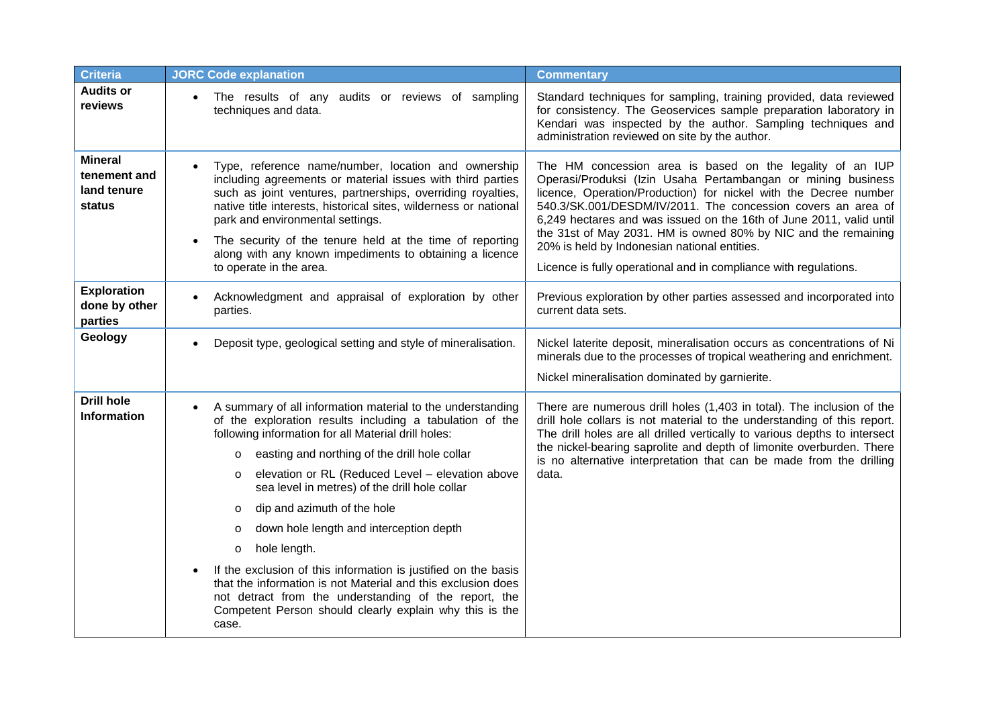| <b>Criteria</b>                                         | <b>JORC Code explanation</b>                                                                                                                                                                                                                                                                                                                                                                                                                                                                                                                                                                                                                                                                                                                         | <b>Commentary</b>                                                                                                                                                                                                                                                                                                                                                                                                                                                                                                          |
|---------------------------------------------------------|------------------------------------------------------------------------------------------------------------------------------------------------------------------------------------------------------------------------------------------------------------------------------------------------------------------------------------------------------------------------------------------------------------------------------------------------------------------------------------------------------------------------------------------------------------------------------------------------------------------------------------------------------------------------------------------------------------------------------------------------------|----------------------------------------------------------------------------------------------------------------------------------------------------------------------------------------------------------------------------------------------------------------------------------------------------------------------------------------------------------------------------------------------------------------------------------------------------------------------------------------------------------------------------|
| <b>Audits or</b><br>reviews                             | The results of any audits or reviews of sampling<br>$\bullet$<br>techniques and data.                                                                                                                                                                                                                                                                                                                                                                                                                                                                                                                                                                                                                                                                | Standard techniques for sampling, training provided, data reviewed<br>for consistency. The Geoservices sample preparation laboratory in<br>Kendari was inspected by the author. Sampling techniques and<br>administration reviewed on site by the author.                                                                                                                                                                                                                                                                  |
| <b>Mineral</b><br>tenement and<br>land tenure<br>status | Type, reference name/number, location and ownership<br>including agreements or material issues with third parties<br>such as joint ventures, partnerships, overriding royalties,<br>native title interests, historical sites, wilderness or national<br>park and environmental settings.<br>The security of the tenure held at the time of reporting<br>along with any known impediments to obtaining a licence<br>to operate in the area.                                                                                                                                                                                                                                                                                                           | The HM concession area is based on the legality of an IUP<br>Operasi/Produksi (Izin Usaha Pertambangan or mining business<br>licence, Operation/Production) for nickel with the Decree number<br>540.3/SK.001/DESDM/IV/2011. The concession covers an area of<br>6,249 hectares and was issued on the 16th of June 2011, valid until<br>the 31st of May 2031. HM is owned 80% by NIC and the remaining<br>20% is held by Indonesian national entities.<br>Licence is fully operational and in compliance with regulations. |
| <b>Exploration</b><br>done by other<br>parties          | Acknowledgment and appraisal of exploration by other<br>parties.                                                                                                                                                                                                                                                                                                                                                                                                                                                                                                                                                                                                                                                                                     | Previous exploration by other parties assessed and incorporated into<br>current data sets.                                                                                                                                                                                                                                                                                                                                                                                                                                 |
| Geology                                                 | Deposit type, geological setting and style of mineralisation.                                                                                                                                                                                                                                                                                                                                                                                                                                                                                                                                                                                                                                                                                        | Nickel laterite deposit, mineralisation occurs as concentrations of Ni<br>minerals due to the processes of tropical weathering and enrichment.<br>Nickel mineralisation dominated by garnierite.                                                                                                                                                                                                                                                                                                                           |
| <b>Drill hole</b><br><b>Information</b>                 | A summary of all information material to the understanding<br>$\bullet$<br>of the exploration results including a tabulation of the<br>following information for all Material drill holes:<br>easting and northing of the drill hole collar<br>$\circ$<br>elevation or RL (Reduced Level - elevation above<br>$\circ$<br>sea level in metres) of the drill hole collar<br>dip and azimuth of the hole<br>O<br>down hole length and interception depth<br>O<br>hole length.<br>$\circ$<br>If the exclusion of this information is justified on the basis<br>that the information is not Material and this exclusion does<br>not detract from the understanding of the report, the<br>Competent Person should clearly explain why this is the<br>case. | There are numerous drill holes (1,403 in total). The inclusion of the<br>drill hole collars is not material to the understanding of this report.<br>The drill holes are all drilled vertically to various depths to intersect<br>the nickel-bearing saprolite and depth of limonite overburden. There<br>is no alternative interpretation that can be made from the drilling<br>data.                                                                                                                                      |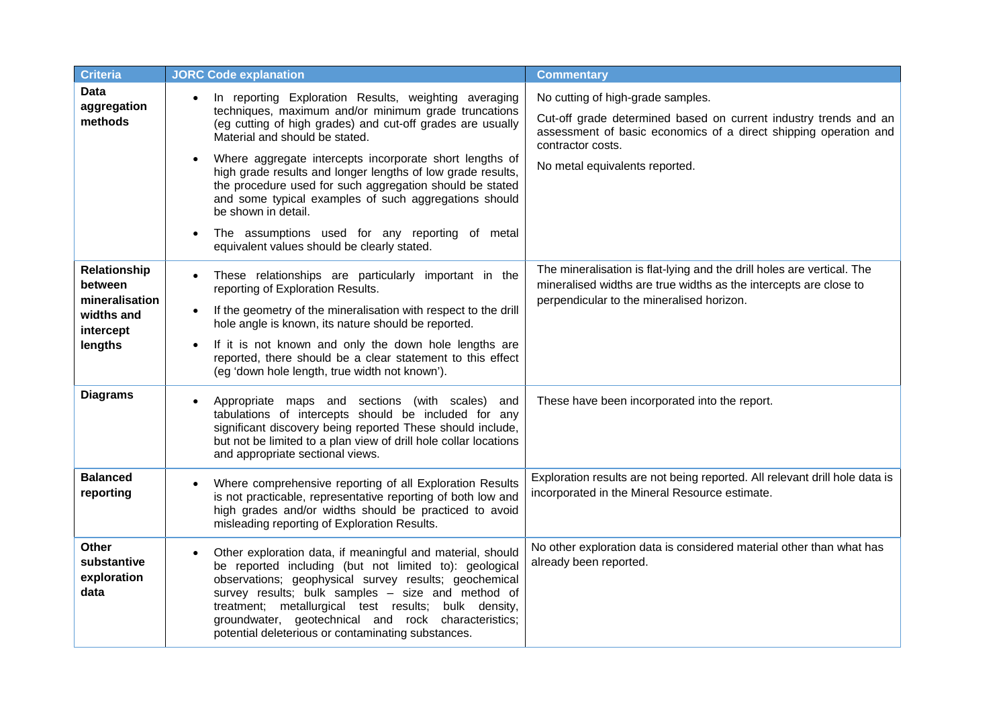| <b>Criteria</b>                                    | <b>JORC Code explanation</b>                                                                                                                                                                                                                                                                                                                                                                                         | <b>Commentary</b>                                                                                                                                                         |
|----------------------------------------------------|----------------------------------------------------------------------------------------------------------------------------------------------------------------------------------------------------------------------------------------------------------------------------------------------------------------------------------------------------------------------------------------------------------------------|---------------------------------------------------------------------------------------------------------------------------------------------------------------------------|
| <b>Data</b><br>aggregation<br>methods              | In reporting Exploration Results, weighting averaging<br>$\bullet$<br>techniques, maximum and/or minimum grade truncations<br>(eg cutting of high grades) and cut-off grades are usually<br>Material and should be stated.                                                                                                                                                                                           | No cutting of high-grade samples.<br>Cut-off grade determined based on current industry trends and an<br>assessment of basic economics of a direct shipping operation and |
|                                                    | Where aggregate intercepts incorporate short lengths of<br>high grade results and longer lengths of low grade results,<br>the procedure used for such aggregation should be stated<br>and some typical examples of such aggregations should<br>be shown in detail.                                                                                                                                                   | contractor costs.<br>No metal equivalents reported.                                                                                                                       |
|                                                    | The assumptions used for any reporting of metal<br>$\bullet$<br>equivalent values should be clearly stated.                                                                                                                                                                                                                                                                                                          |                                                                                                                                                                           |
| Relationship<br>between                            | These relationships are particularly important in the<br>reporting of Exploration Results.                                                                                                                                                                                                                                                                                                                           | The mineralisation is flat-lying and the drill holes are vertical. The<br>mineralised widths are true widths as the intercepts are close to                               |
| mineralisation<br>widths and<br>intercept          | If the geometry of the mineralisation with respect to the drill<br>hole angle is known, its nature should be reported.                                                                                                                                                                                                                                                                                               | perpendicular to the mineralised horizon.                                                                                                                                 |
| lengths                                            | If it is not known and only the down hole lengths are<br>reported, there should be a clear statement to this effect<br>(eg 'down hole length, true width not known').                                                                                                                                                                                                                                                |                                                                                                                                                                           |
| <b>Diagrams</b>                                    | Appropriate maps and sections (with scales) and<br>$\bullet$<br>tabulations of intercepts should be included for any<br>significant discovery being reported These should include,<br>but not be limited to a plan view of drill hole collar locations<br>and appropriate sectional views.                                                                                                                           | These have been incorporated into the report.                                                                                                                             |
| <b>Balanced</b><br>reporting                       | Where comprehensive reporting of all Exploration Results<br>is not practicable, representative reporting of both low and<br>high grades and/or widths should be practiced to avoid<br>misleading reporting of Exploration Results.                                                                                                                                                                                   | Exploration results are not being reported. All relevant drill hole data is<br>incorporated in the Mineral Resource estimate.                                             |
| <b>Other</b><br>substantive<br>exploration<br>data | Other exploration data, if meaningful and material, should<br>$\bullet$<br>be reported including (but not limited to): geological<br>observations; geophysical survey results; geochemical<br>survey results; bulk samples - size and method of<br>treatment; metallurgical test results; bulk density,<br>groundwater, geotechnical and rock characteristics;<br>potential deleterious or contaminating substances. | No other exploration data is considered material other than what has<br>already been reported.                                                                            |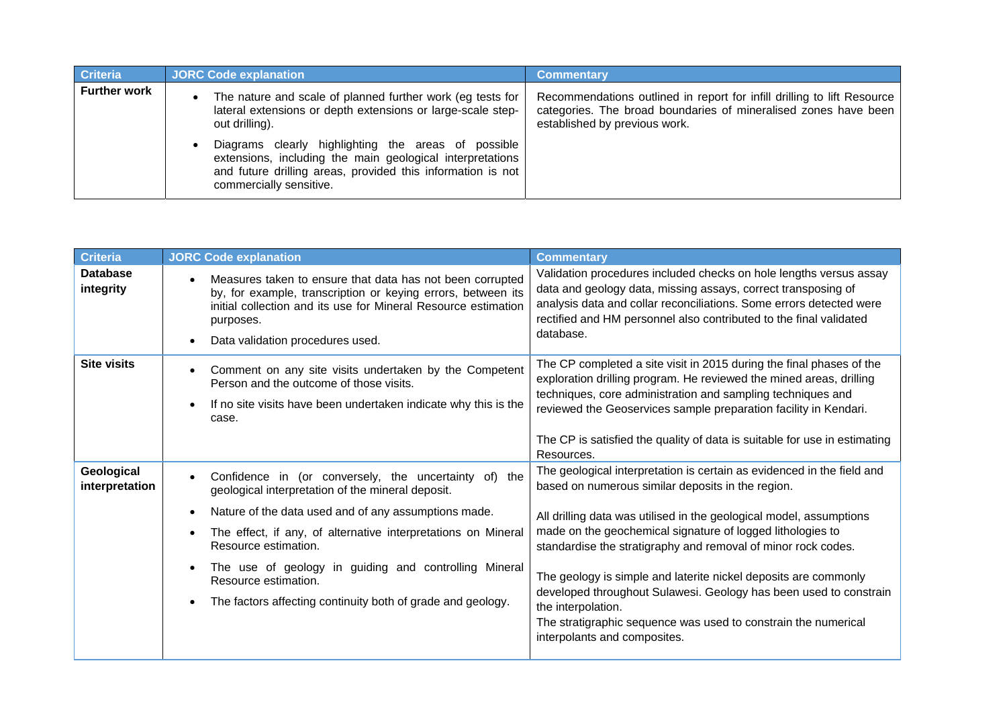| <b>Criteria</b>     | <b>JORC Code explanation</b>                                                                                                                                                                               | <b>Commentary</b>                                                                                                                                                           |
|---------------------|------------------------------------------------------------------------------------------------------------------------------------------------------------------------------------------------------------|-----------------------------------------------------------------------------------------------------------------------------------------------------------------------------|
| <b>Further work</b> | The nature and scale of planned further work (eg tests for<br>lateral extensions or depth extensions or large-scale step-<br>out drilling).                                                                | Recommendations outlined in report for infill drilling to lift Resource<br>categories. The broad boundaries of mineralised zones have been<br>established by previous work. |
|                     | Diagrams clearly highlighting the areas of possible<br>extensions, including the main geological interpretations<br>and future drilling areas, provided this information is not<br>commercially sensitive. |                                                                                                                                                                             |

| <b>Criteria</b>              | <b>JORC Code explanation</b>                                                                                                                                                                                                                                                                                                                                                                                | <b>Commentary</b>                                                                                                                                                                                                                                                                                                                                                                                                                                                                                                                                                                                 |
|------------------------------|-------------------------------------------------------------------------------------------------------------------------------------------------------------------------------------------------------------------------------------------------------------------------------------------------------------------------------------------------------------------------------------------------------------|---------------------------------------------------------------------------------------------------------------------------------------------------------------------------------------------------------------------------------------------------------------------------------------------------------------------------------------------------------------------------------------------------------------------------------------------------------------------------------------------------------------------------------------------------------------------------------------------------|
| <b>Database</b><br>integrity | Measures taken to ensure that data has not been corrupted<br>by, for example, transcription or keying errors, between its<br>initial collection and its use for Mineral Resource estimation<br>purposes.<br>Data validation procedures used.                                                                                                                                                                | Validation procedures included checks on hole lengths versus assay<br>data and geology data, missing assays, correct transposing of<br>analysis data and collar reconciliations. Some errors detected were<br>rectified and HM personnel also contributed to the final validated<br>database.                                                                                                                                                                                                                                                                                                     |
| <b>Site visits</b>           | Comment on any site visits undertaken by the Competent<br>Person and the outcome of those visits.<br>If no site visits have been undertaken indicate why this is the<br>case.                                                                                                                                                                                                                               | The CP completed a site visit in 2015 during the final phases of the<br>exploration drilling program. He reviewed the mined areas, drilling<br>techniques, core administration and sampling techniques and<br>reviewed the Geoservices sample preparation facility in Kendari.<br>The CP is satisfied the quality of data is suitable for use in estimating<br>Resources.                                                                                                                                                                                                                         |
| Geological<br>interpretation | Confidence in (or conversely, the uncertainty of) the<br>geological interpretation of the mineral deposit.<br>Nature of the data used and of any assumptions made.<br>The effect, if any, of alternative interpretations on Mineral<br>Resource estimation.<br>The use of geology in guiding and controlling Mineral<br>Resource estimation.<br>The factors affecting continuity both of grade and geology. | The geological interpretation is certain as evidenced in the field and<br>based on numerous similar deposits in the region.<br>All drilling data was utilised in the geological model, assumptions<br>made on the geochemical signature of logged lithologies to<br>standardise the stratigraphy and removal of minor rock codes.<br>The geology is simple and laterite nickel deposits are commonly<br>developed throughout Sulawesi. Geology has been used to constrain<br>the interpolation.<br>The stratigraphic sequence was used to constrain the numerical<br>interpolants and composites. |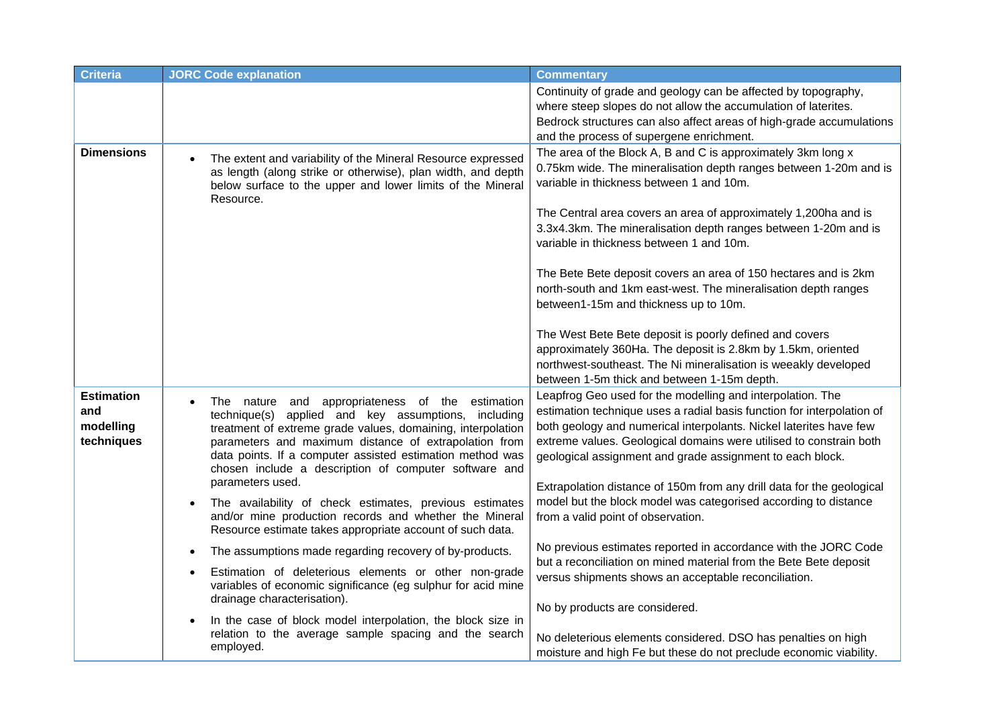| <b>Criteria</b>                                     | <b>JORC Code explanation</b>                                                                                                                                                                                                                                                                                                                                                 | <b>Commentary</b>                                                                                                                                                                                                                                                                                                                                                                                                      |
|-----------------------------------------------------|------------------------------------------------------------------------------------------------------------------------------------------------------------------------------------------------------------------------------------------------------------------------------------------------------------------------------------------------------------------------------|------------------------------------------------------------------------------------------------------------------------------------------------------------------------------------------------------------------------------------------------------------------------------------------------------------------------------------------------------------------------------------------------------------------------|
|                                                     |                                                                                                                                                                                                                                                                                                                                                                              | Continuity of grade and geology can be affected by topography,<br>where steep slopes do not allow the accumulation of laterites.<br>Bedrock structures can also affect areas of high-grade accumulations<br>and the process of supergene enrichment.                                                                                                                                                                   |
| <b>Dimensions</b>                                   | The extent and variability of the Mineral Resource expressed<br>as length (along strike or otherwise), plan width, and depth<br>below surface to the upper and lower limits of the Mineral<br>Resource.                                                                                                                                                                      | The area of the Block A, B and C is approximately 3km long x<br>0.75km wide. The mineralisation depth ranges between 1-20m and is<br>variable in thickness between 1 and 10m.                                                                                                                                                                                                                                          |
|                                                     |                                                                                                                                                                                                                                                                                                                                                                              | The Central area covers an area of approximately 1,200ha and is<br>3.3x4.3km. The mineralisation depth ranges between 1-20m and is<br>variable in thickness between 1 and 10m.                                                                                                                                                                                                                                         |
|                                                     |                                                                                                                                                                                                                                                                                                                                                                              | The Bete Bete deposit covers an area of 150 hectares and is 2km<br>north-south and 1km east-west. The mineralisation depth ranges<br>between1-15m and thickness up to 10m.                                                                                                                                                                                                                                             |
|                                                     |                                                                                                                                                                                                                                                                                                                                                                              | The West Bete Bete deposit is poorly defined and covers<br>approximately 360Ha. The deposit is 2.8km by 1.5km, oriented<br>northwest-southeast. The Ni mineralisation is weeakly developed<br>between 1-5m thick and between 1-15m depth.                                                                                                                                                                              |
| <b>Estimation</b><br>and<br>modelling<br>techniques | The nature and appropriateness of the<br>estimation<br>technique(s) applied and key assumptions, including<br>treatment of extreme grade values, domaining, interpolation<br>parameters and maximum distance of extrapolation from<br>data points. If a computer assisted estimation method was<br>chosen include a description of computer software and<br>parameters used. | Leapfrog Geo used for the modelling and interpolation. The<br>estimation technique uses a radial basis function for interpolation of<br>both geology and numerical interpolants. Nickel laterites have few<br>extreme values. Geological domains were utilised to constrain both<br>geological assignment and grade assignment to each block.<br>Extrapolation distance of 150m from any drill data for the geological |
|                                                     | The availability of check estimates, previous estimates<br>and/or mine production records and whether the Mineral<br>Resource estimate takes appropriate account of such data.                                                                                                                                                                                               | model but the block model was categorised according to distance<br>from a valid point of observation.                                                                                                                                                                                                                                                                                                                  |
|                                                     | The assumptions made regarding recovery of by-products.<br>$\bullet$                                                                                                                                                                                                                                                                                                         | No previous estimates reported in accordance with the JORC Code                                                                                                                                                                                                                                                                                                                                                        |
|                                                     | Estimation of deleterious elements or other non-grade<br>variables of economic significance (eg sulphur for acid mine<br>drainage characterisation).                                                                                                                                                                                                                         | but a reconciliation on mined material from the Bete Bete deposit<br>versus shipments shows an acceptable reconciliation.                                                                                                                                                                                                                                                                                              |
|                                                     | In the case of block model interpolation, the block size in<br>relation to the average sample spacing and the search<br>employed.                                                                                                                                                                                                                                            | No by products are considered.<br>No deleterious elements considered. DSO has penalties on high<br>moisture and high Fe but these do not preclude economic viability.                                                                                                                                                                                                                                                  |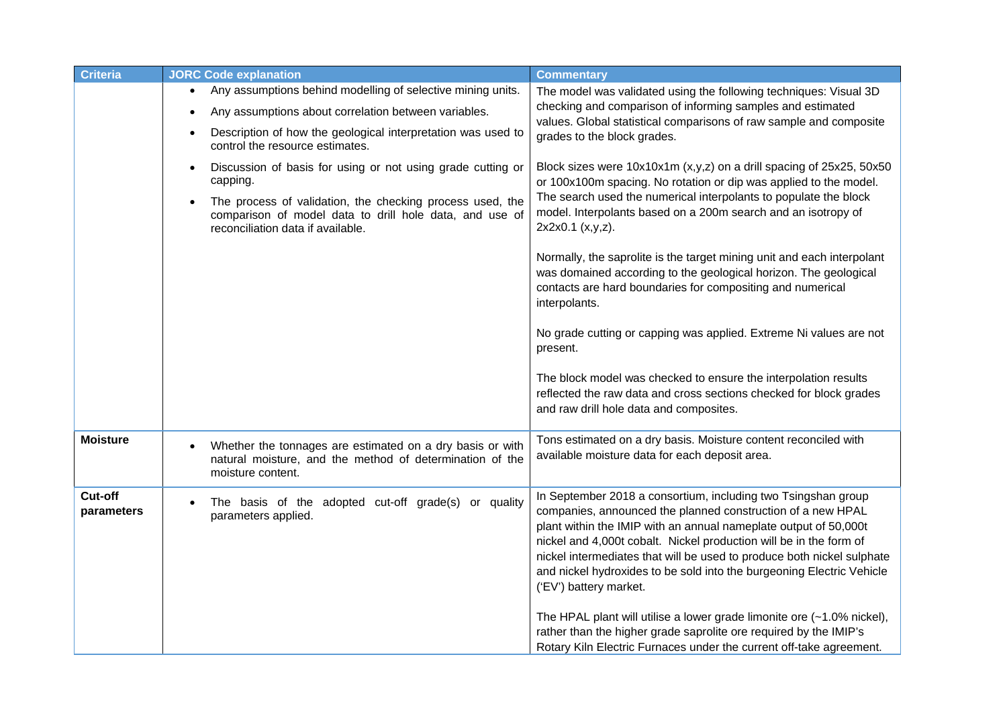| <b>Criteria</b>       | <b>JORC Code explanation</b>                                                                                                                              | <b>Commentary</b>                                                                                                                                                                                                                                                                                                                                                                                                                                   |
|-----------------------|-----------------------------------------------------------------------------------------------------------------------------------------------------------|-----------------------------------------------------------------------------------------------------------------------------------------------------------------------------------------------------------------------------------------------------------------------------------------------------------------------------------------------------------------------------------------------------------------------------------------------------|
|                       | Any assumptions behind modelling of selective mining units.<br>Any assumptions about correlation between variables.                                       | The model was validated using the following techniques: Visual 3D<br>checking and comparison of informing samples and estimated<br>values. Global statistical comparisons of raw sample and composite                                                                                                                                                                                                                                               |
|                       | Description of how the geological interpretation was used to<br>control the resource estimates.                                                           | grades to the block grades.                                                                                                                                                                                                                                                                                                                                                                                                                         |
|                       | Discussion of basis for using or not using grade cutting or<br>$\bullet$<br>capping.                                                                      | Block sizes were 10x10x1m (x,y,z) on a drill spacing of 25x25, 50x50<br>or 100x100m spacing. No rotation or dip was applied to the model.                                                                                                                                                                                                                                                                                                           |
|                       | The process of validation, the checking process used, the<br>comparison of model data to drill hole data, and use of<br>reconciliation data if available. | The search used the numerical interpolants to populate the block<br>model. Interpolants based on a 200m search and an isotropy of<br>2x2x0.1 (x,y,z).                                                                                                                                                                                                                                                                                               |
|                       |                                                                                                                                                           | Normally, the saprolite is the target mining unit and each interpolant<br>was domained according to the geological horizon. The geological<br>contacts are hard boundaries for compositing and numerical<br>interpolants.                                                                                                                                                                                                                           |
|                       |                                                                                                                                                           | No grade cutting or capping was applied. Extreme Ni values are not<br>present.                                                                                                                                                                                                                                                                                                                                                                      |
|                       |                                                                                                                                                           | The block model was checked to ensure the interpolation results<br>reflected the raw data and cross sections checked for block grades<br>and raw drill hole data and composites.                                                                                                                                                                                                                                                                    |
| <b>Moisture</b>       | Whether the tonnages are estimated on a dry basis or with<br>natural moisture, and the method of determination of the<br>moisture content.                | Tons estimated on a dry basis. Moisture content reconciled with<br>available moisture data for each deposit area.                                                                                                                                                                                                                                                                                                                                   |
| Cut-off<br>parameters | The basis of the adopted cut-off grade(s) or quality<br>parameters applied.                                                                               | In September 2018 a consortium, including two Tsingshan group<br>companies, announced the planned construction of a new HPAL<br>plant within the IMIP with an annual nameplate output of 50,000t<br>nickel and 4,000t cobalt. Nickel production will be in the form of<br>nickel intermediates that will be used to produce both nickel sulphate<br>and nickel hydroxides to be sold into the burgeoning Electric Vehicle<br>('EV') battery market. |
|                       |                                                                                                                                                           | The HPAL plant will utilise a lower grade limonite ore (~1.0% nickel),<br>rather than the higher grade saprolite ore required by the IMIP's<br>Rotary Kiln Electric Furnaces under the current off-take agreement.                                                                                                                                                                                                                                  |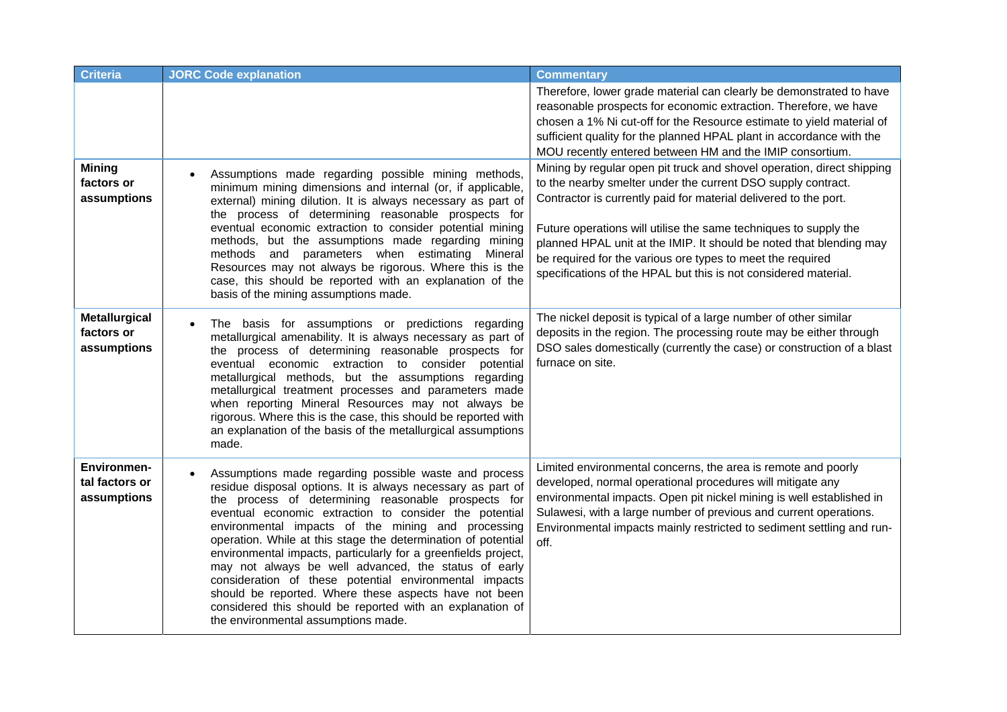| <b>Criteria</b>                                   | <b>JORC Code explanation</b>                                                                                                                                                                                                                                                                                                                                                                                                                                                                                                                                                                                                                                                                                  | <b>Commentary</b>                                                                                                                                                                                                                                                                                                                                                                                                                                                                      |
|---------------------------------------------------|---------------------------------------------------------------------------------------------------------------------------------------------------------------------------------------------------------------------------------------------------------------------------------------------------------------------------------------------------------------------------------------------------------------------------------------------------------------------------------------------------------------------------------------------------------------------------------------------------------------------------------------------------------------------------------------------------------------|----------------------------------------------------------------------------------------------------------------------------------------------------------------------------------------------------------------------------------------------------------------------------------------------------------------------------------------------------------------------------------------------------------------------------------------------------------------------------------------|
|                                                   |                                                                                                                                                                                                                                                                                                                                                                                                                                                                                                                                                                                                                                                                                                               | Therefore, lower grade material can clearly be demonstrated to have<br>reasonable prospects for economic extraction. Therefore, we have<br>chosen a 1% Ni cut-off for the Resource estimate to yield material of<br>sufficient quality for the planned HPAL plant in accordance with the<br>MOU recently entered between HM and the IMIP consortium.                                                                                                                                   |
| <b>Mining</b><br>factors or<br>assumptions        | Assumptions made regarding possible mining methods,<br>minimum mining dimensions and internal (or, if applicable,<br>external) mining dilution. It is always necessary as part of<br>the process of determining reasonable prospects for<br>eventual economic extraction to consider potential mining<br>methods, but the assumptions made regarding mining<br>methods and parameters when estimating Mineral<br>Resources may not always be rigorous. Where this is the<br>case, this should be reported with an explanation of the<br>basis of the mining assumptions made.                                                                                                                                 | Mining by regular open pit truck and shovel operation, direct shipping<br>to the nearby smelter under the current DSO supply contract.<br>Contractor is currently paid for material delivered to the port.<br>Future operations will utilise the same techniques to supply the<br>planned HPAL unit at the IMIP. It should be noted that blending may<br>be required for the various ore types to meet the required<br>specifications of the HPAL but this is not considered material. |
| <b>Metallurgical</b><br>factors or<br>assumptions | The basis for assumptions or predictions regarding<br>metallurgical amenability. It is always necessary as part of<br>the process of determining reasonable prospects for<br>eventual economic extraction to consider<br>potential<br>metallurgical methods, but the assumptions regarding<br>metallurgical treatment processes and parameters made<br>when reporting Mineral Resources may not always be<br>rigorous. Where this is the case, this should be reported with<br>an explanation of the basis of the metallurgical assumptions<br>made.                                                                                                                                                          | The nickel deposit is typical of a large number of other similar<br>deposits in the region. The processing route may be either through<br>DSO sales domestically (currently the case) or construction of a blast<br>furnace on site.                                                                                                                                                                                                                                                   |
| Environmen-<br>tal factors or<br>assumptions      | Assumptions made regarding possible waste and process<br>residue disposal options. It is always necessary as part of<br>the process of determining reasonable prospects for<br>eventual economic extraction to consider the potential<br>environmental impacts of the mining and processing<br>operation. While at this stage the determination of potential<br>environmental impacts, particularly for a greenfields project,<br>may not always be well advanced, the status of early<br>consideration of these potential environmental impacts<br>should be reported. Where these aspects have not been<br>considered this should be reported with an explanation of<br>the environmental assumptions made. | Limited environmental concerns, the area is remote and poorly<br>developed, normal operational procedures will mitigate any<br>environmental impacts. Open pit nickel mining is well established in<br>Sulawesi, with a large number of previous and current operations.<br>Environmental impacts mainly restricted to sediment settling and run-<br>off.                                                                                                                              |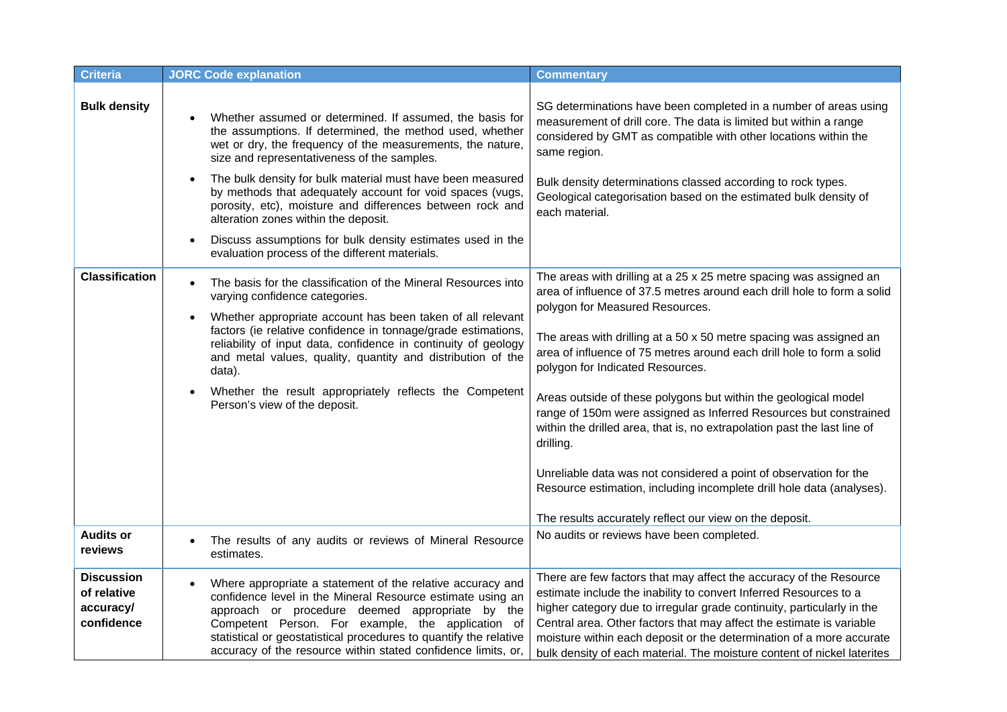| <b>Criteria</b>                                             | <b>JORC Code explanation</b>                                                                                                                                                                                                                                                                                                                                           | <b>Commentary</b>                                                                                                                                                                                                                                                                                                                                                                                                                            |
|-------------------------------------------------------------|------------------------------------------------------------------------------------------------------------------------------------------------------------------------------------------------------------------------------------------------------------------------------------------------------------------------------------------------------------------------|----------------------------------------------------------------------------------------------------------------------------------------------------------------------------------------------------------------------------------------------------------------------------------------------------------------------------------------------------------------------------------------------------------------------------------------------|
| <b>Bulk density</b>                                         | Whether assumed or determined. If assumed, the basis for<br>the assumptions. If determined, the method used, whether<br>wet or dry, the frequency of the measurements, the nature,<br>size and representativeness of the samples.                                                                                                                                      | SG determinations have been completed in a number of areas using<br>measurement of drill core. The data is limited but within a range<br>considered by GMT as compatible with other locations within the<br>same region.                                                                                                                                                                                                                     |
|                                                             | The bulk density for bulk material must have been measured<br>by methods that adequately account for void spaces (vugs,<br>porosity, etc), moisture and differences between rock and<br>alteration zones within the deposit.                                                                                                                                           | Bulk density determinations classed according to rock types.<br>Geological categorisation based on the estimated bulk density of<br>each material.                                                                                                                                                                                                                                                                                           |
|                                                             | Discuss assumptions for bulk density estimates used in the<br>evaluation process of the different materials.                                                                                                                                                                                                                                                           |                                                                                                                                                                                                                                                                                                                                                                                                                                              |
| <b>Classification</b>                                       | The basis for the classification of the Mineral Resources into<br>varying confidence categories.                                                                                                                                                                                                                                                                       | The areas with drilling at a 25 x 25 metre spacing was assigned an<br>area of influence of 37.5 metres around each drill hole to form a solid<br>polygon for Measured Resources.                                                                                                                                                                                                                                                             |
|                                                             | Whether appropriate account has been taken of all relevant<br>factors (ie relative confidence in tonnage/grade estimations,<br>reliability of input data, confidence in continuity of geology<br>and metal values, quality, quantity and distribution of the<br>data).                                                                                                 | The areas with drilling at a 50 x 50 metre spacing was assigned an<br>area of influence of 75 metres around each drill hole to form a solid<br>polygon for Indicated Resources.                                                                                                                                                                                                                                                              |
|                                                             | Whether the result appropriately reflects the Competent<br>Person's view of the deposit.                                                                                                                                                                                                                                                                               | Areas outside of these polygons but within the geological model<br>range of 150m were assigned as Inferred Resources but constrained<br>within the drilled area, that is, no extrapolation past the last line of<br>drilling.                                                                                                                                                                                                                |
|                                                             |                                                                                                                                                                                                                                                                                                                                                                        | Unreliable data was not considered a point of observation for the<br>Resource estimation, including incomplete drill hole data (analyses).<br>The results accurately reflect our view on the deposit.                                                                                                                                                                                                                                        |
| <b>Audits or</b><br>reviews                                 | The results of any audits or reviews of Mineral Resource<br>estimates.                                                                                                                                                                                                                                                                                                 | No audits or reviews have been completed.                                                                                                                                                                                                                                                                                                                                                                                                    |
| <b>Discussion</b><br>of relative<br>accuracy/<br>confidence | Where appropriate a statement of the relative accuracy and<br>confidence level in the Mineral Resource estimate using an<br>approach or procedure deemed appropriate by the<br>Competent Person. For example, the application of<br>statistical or geostatistical procedures to quantify the relative<br>accuracy of the resource within stated confidence limits, or, | There are few factors that may affect the accuracy of the Resource<br>estimate include the inability to convert Inferred Resources to a<br>higher category due to irregular grade continuity, particularly in the<br>Central area. Other factors that may affect the estimate is variable<br>moisture within each deposit or the determination of a more accurate<br>bulk density of each material. The moisture content of nickel laterites |